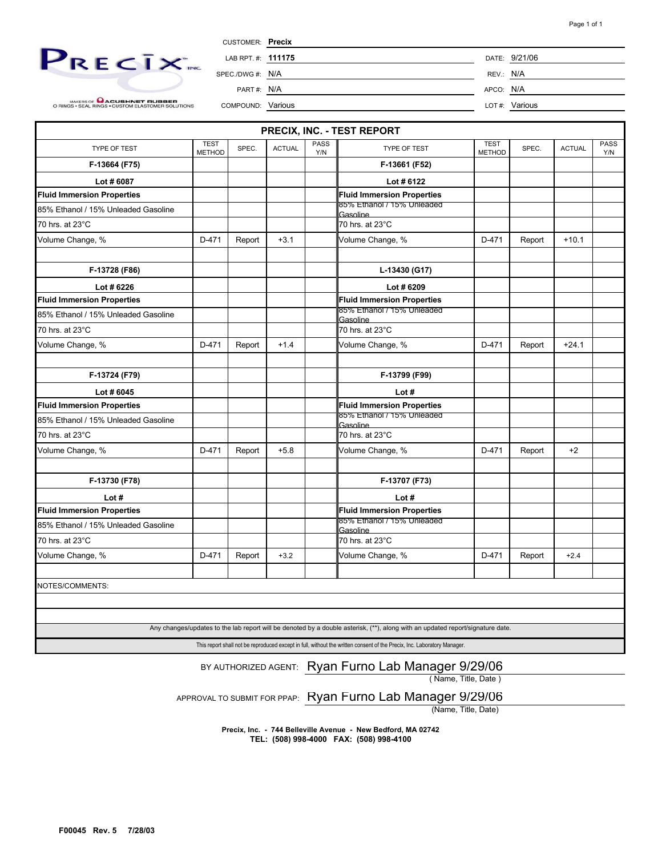

MAKERS OF **CACUSHNET RUBBER**<br>O RINGS • SEAL RINGS • CUSTOM ELASTOMER SOLUTIONS

| <b>CUSTOMER:</b> Precix |           |               |
|-------------------------|-----------|---------------|
| LAB RPT. #: 111175      |           | DATE: 9/21/06 |
| SPEC/DWG #: N/A         | REV.: N/A |               |
| PART#: N/A              | APCO: N/A |               |
| COMPOUND: Various       |           | LOT#: Various |

|                                     |                              |        |               |             | PRECIX, INC. - TEST REPORT                                                                                                     |                              |        |               |             |
|-------------------------------------|------------------------------|--------|---------------|-------------|--------------------------------------------------------------------------------------------------------------------------------|------------------------------|--------|---------------|-------------|
| TYPE OF TEST                        | <b>TEST</b><br><b>METHOD</b> | SPEC.  | <b>ACTUAL</b> | PASS<br>Y/N | TYPE OF TEST                                                                                                                   | <b>TEST</b><br><b>METHOD</b> | SPEC.  | <b>ACTUAL</b> | PASS<br>Y/N |
| F-13664 (F75)                       |                              |        |               |             | F-13661 (F52)                                                                                                                  |                              |        |               |             |
| Lot #6087                           |                              |        |               |             | Lot #6122                                                                                                                      |                              |        |               |             |
| <b>Fluid Immersion Properties</b>   |                              |        |               |             | <b>Fluid Immersion Properties</b>                                                                                              |                              |        |               |             |
| 85% Ethanol / 15% Unleaded Gasoline |                              |        |               |             | 85% Ethanol / 15% Unleaded<br>Gasoline                                                                                         |                              |        |               |             |
| 70 hrs. at 23°C                     |                              |        |               |             | 70 hrs. at 23°C                                                                                                                |                              |        |               |             |
| Volume Change, %                    | D-471                        | Report | $+3.1$        |             | Volume Change, %                                                                                                               | D-471                        | Report | $+10.1$       |             |
| F-13728 (F86)                       |                              |        |               |             | L-13430 (G17)                                                                                                                  |                              |        |               |             |
| Lot #6226                           |                              |        |               |             | Lot #6209                                                                                                                      |                              |        |               |             |
| <b>Fluid Immersion Properties</b>   |                              |        |               |             | Fluid Immersion Properties                                                                                                     |                              |        |               |             |
| 85% Ethanol / 15% Unleaded Gasoline |                              |        |               |             | 85% Ethanol / 15% Unleaded<br>Gasoline                                                                                         |                              |        |               |             |
| 70 hrs. at 23°C                     |                              |        |               |             | 70 hrs. at 23°C                                                                                                                |                              |        |               |             |
| Volume Change, %                    | D-471                        | Report | $+1.4$        |             | Volume Change, %                                                                                                               | D-471                        | Report | $+24.1$       |             |
|                                     |                              |        |               |             |                                                                                                                                |                              |        |               |             |
| F-13724 (F79)                       |                              |        |               |             | F-13799 (F99)                                                                                                                  |                              |        |               |             |
| Lot #6045                           |                              |        |               |             | Lot #                                                                                                                          |                              |        |               |             |
| <b>Fluid Immersion Properties</b>   |                              |        |               |             | <b>Fluid Immersion Properties</b>                                                                                              |                              |        |               |             |
| 85% Ethanol / 15% Unleaded Gasoline |                              |        |               |             | 85% Ethanol / 15% Unleaded<br>Gasoline                                                                                         |                              |        |               |             |
| 70 hrs. at 23°C                     |                              |        |               |             | 70 hrs. at 23°C                                                                                                                |                              |        |               |             |
| Volume Change, %                    | D-471                        | Report | $+5.8$        |             | Volume Change, %                                                                                                               | D-471                        | Report | $+2$          |             |
| F-13730 (F78)                       |                              |        |               |             | F-13707 (F73)                                                                                                                  |                              |        |               |             |
| Lot#                                |                              |        |               |             | Lot#                                                                                                                           |                              |        |               |             |
| <b>Fluid Immersion Properties</b>   |                              |        |               |             | <b>Fluid Immersion Properties</b>                                                                                              |                              |        |               |             |
| 85% Ethanol / 15% Unleaded Gasoline |                              |        |               |             | 85% Ethanol / 15% Unleaded                                                                                                     |                              |        |               |             |
| 70 hrs. at 23°C                     |                              |        |               |             | Gasoline<br>70 hrs. at 23°C                                                                                                    |                              |        |               |             |
| Volume Change, %                    | D-471                        | Report | $+3.2$        |             | Volume Change, %                                                                                                               | D-471                        | Report | $+2.4$        |             |
|                                     |                              |        |               |             |                                                                                                                                |                              |        |               |             |
| NOTES/COMMENTS:                     |                              |        |               |             |                                                                                                                                |                              |        |               |             |
|                                     |                              |        |               |             |                                                                                                                                |                              |        |               |             |
|                                     |                              |        |               |             |                                                                                                                                |                              |        |               |             |
|                                     |                              |        |               |             | Any changes/updates to the lab report will be denoted by a double asterisk, (**), along with an updated report/signature date. |                              |        |               |             |

This report shall not be reproduced except in full, without the written consent of the Precix, Inc. Laboratory Manager.

## BY AUTHORIZED AGENT: Ryan Furno Lab Manager 9/29/06

( Name, Title, Date )

APPROVAL TO SUBMIT FOR PPAP: Ryan Furno Lab Manager 9/29/06

(Name, Title, Date)

**Precix, Inc. - 744 Belleville Avenue - New Bedford, MA 02742 TEL: (508) 998-4000 FAX: (508) 998-4100**